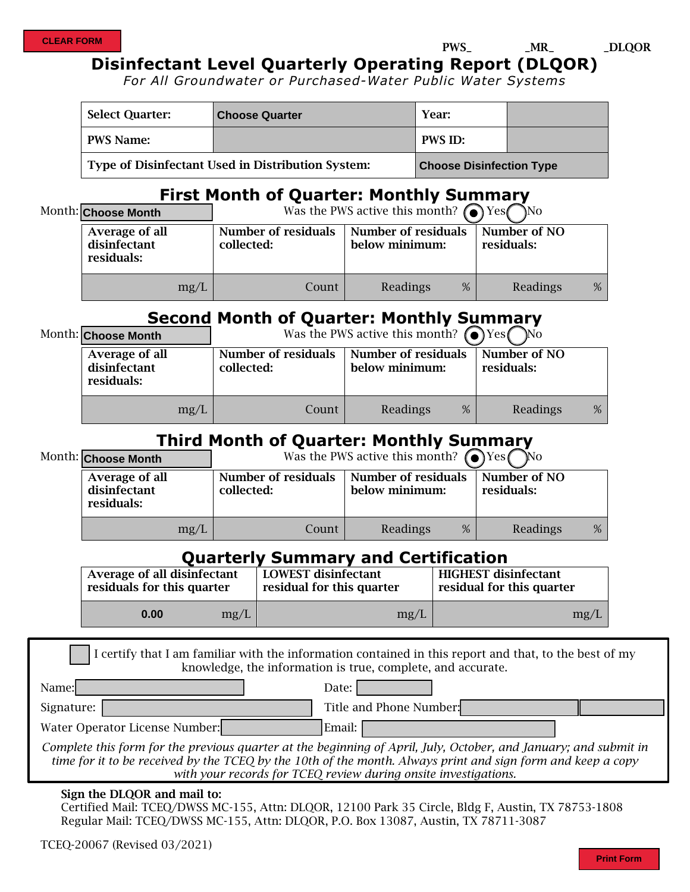PWS\_ \_MR\_ \_DLQOR

### **Disinfectant Level Quarterly Operating Report (DLQOR)**

 *For All Groundwater or Purchased-Water Public Water Systems* 

| <b>Select Quarter:</b>                            | <b>Choose Quarter</b> | Year:                           |  |
|---------------------------------------------------|-----------------------|---------------------------------|--|
| PWS Name:                                         |                       | <b>PWS ID:</b>                  |  |
| Type of Disinfectant Used in Distribution System: |                       | <b>Choose Disinfection Type</b> |  |

### **First Month of Quarter: Monthly Summary**

| Month: Choose Month                          | Was the PWS active this month? $\odot$ Yes | No.                                          |                            |   |
|----------------------------------------------|--------------------------------------------|----------------------------------------------|----------------------------|---|
| Average of all<br>disinfectant<br>residuals: | <b>Number of residuals</b><br>collected:   | <b>Number of residuals</b><br>below minimum: | Number of NO<br>residuals: |   |
| mg/L                                         | Count                                      | %<br>Readings                                | Readings                   | % |

## **Second Month of Quarter: Monthly Summary**

| Month: Choose Month                          | Was the PWS active this month? $\odot$ Yes<br>N <sub>0</sub> |                                              |                            |   |
|----------------------------------------------|--------------------------------------------------------------|----------------------------------------------|----------------------------|---|
| Average of all<br>disinfectant<br>residuals: | <b>Number of residuals</b><br>collected:                     | <b>Number of residuals</b><br>below minimum: | Number of NO<br>residuals: |   |
| mg/L                                         | Count                                                        | Readings<br>%                                | Readings                   | % |

## **Third Month of Quarter: Monthly Summary**

| Month: Choose Month                          | Was the PWS active this month? $\bullet$ Yes $\bullet$ | <b>No</b>                                    |                            |   |
|----------------------------------------------|--------------------------------------------------------|----------------------------------------------|----------------------------|---|
| Average of all<br>disinfectant<br>residuals: | <b>Number of residuals</b><br>collected:               | <b>Number of residuals</b><br>below minimum: | Number of NO<br>residuals: |   |
| mg/L                                         | Count                                                  | Readings<br>%                                | Readings                   | % |

### **Quarterly Summary and Certification**

| Average of all disinfectant |      | <b>LOWEST</b> disinfectant | <b>HIGHEST</b> disinfectant |  |
|-----------------------------|------|----------------------------|-----------------------------|--|
| residuals for this quarter  |      | residual for this quarter  | residual for this quarter   |  |
| 0.00                        | mg/L | mg/L                       | mg/L                        |  |

I certify that I am familiar with the information contained in this report and that, to the best of my knowledge, the information is true, complete, and accurate.  $\Gamma$ 

| Name:                          | Date:                   |
|--------------------------------|-------------------------|
| Signature:                     | Title and Phone Number: |
| Water Operator License Number: | Email:                  |

*Complete this form for the previous quarter at the beginning of April, July, October, and January; and submit in time for it to be received by the TCEQ by the 10th of the month. Always print and sign form and keep a copy with your records for TCEQ review during onsite investigations.* 

#### Sign the DLQOR and mail to:

Certified Mail: TCEQ/DWSS MC-155, Attn: DLQOR, 12100 Park 35 Circle, Bldg F, Austin, TX 78753-1808 Regular Mail: TCEQ/DWSS MC-155, Attn: DLQOR, P.O. Box 13087, Austin, TX 78711-3087